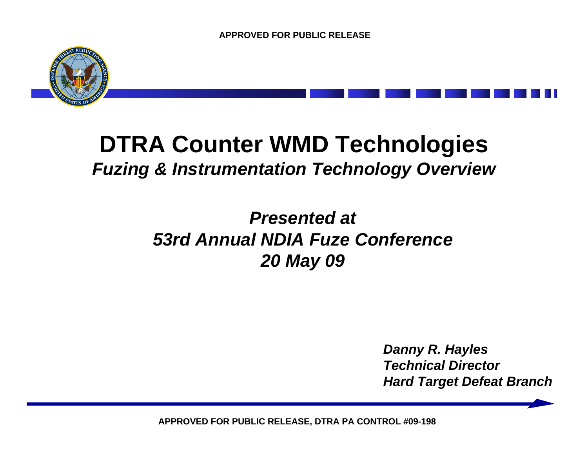

# **DTRA Counter WMD Technologies**  *Fuzing & Instrumentation Technology Overview*

# *Presented at 53rd Annual NDIA Fuze Conference 20 May 09*

*Danny R. Hayles Technical DirectorHard Target Defeat Branch*

**APPROVED FOR PUBLIC RELEASE, DTRA PA CONTROL #09-198**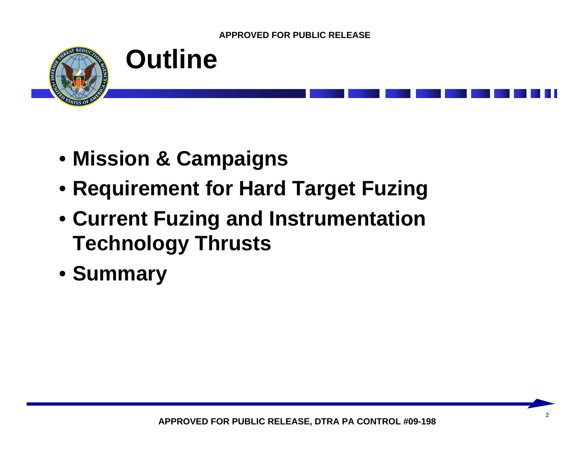



- **Mission & Campaigns**
- **Requirement for Hard Target Fuzing**
- **Current Fuzing and Instrumentation Technology Thrusts**
- **Summary**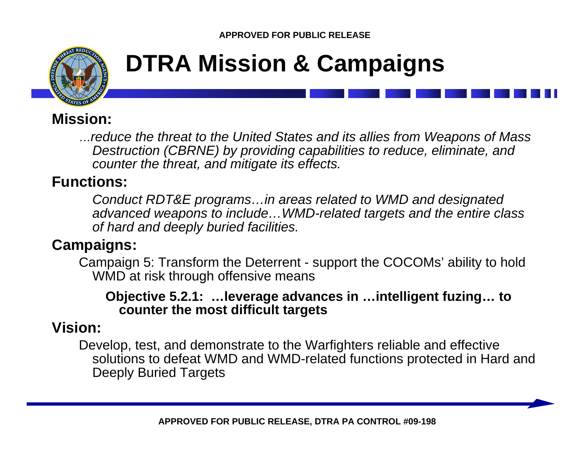

# **DTRA Mission & Campaigns**

## **Mission:**

…*reduce the threat to the United States and its allies from Weapons of Mass Destruction (CBRNE) by providing capabilities to reduce, eliminate, and counter the threat, and mitigate its effects.*

## **Functions:**

*Conduct RDT&E programs…in areas related to WMD and designated advanced weapons to include…WMD-related targets and the entire class of hard and deeply buried facilities.*

## **Campaigns:**

Campaign 5: Transform the Deterrent - support the COCOMs' ability to hold WMD at risk through offensive means

#### **Objective 5.2.1: …leverage advances in …intelligent fuzing… to counter the most difficult targets**

### **Vision:**

Develop, test, and demonstrate to the Warfighters reliable and effective solutions to defeat WMD and WMD-related functions protected in Hard and Deeply Buried Targets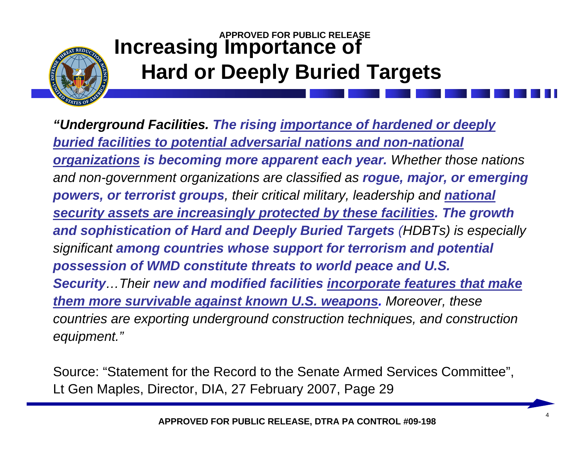

## **APPROVED FOR PUBLIC RELEASEIncreasing Importance of Hard or Deeply Buried Targets**

*"Underground Facilities. The rising importance of hardened or deeply buried facilities to potential adversarial nations and non-national organizations is becoming more apparent each year. Whether those nations and non-government organizations are classified as rogue, major, or emerging powers, or terrorist groups, their critical military, leadership and national security assets are increasingly protected by these facilities. The growth and sophistication of Hard and Deeply Buried Targets (HDBTs) is especially significant among countries whose support for terrorism and potential possession of WMD constitute threats to world peace and U.S. Security…Their new and modified facilities incorporate features that make them more survivable against known U.S. weapons. Moreover, these countries are exporting underground construction techniques, and construction equipment."*

Source: "Statement for the Record to the Senate Armed Services Committee", Lt Gen Maples, Director, DIA, 27 February 2007, Page 29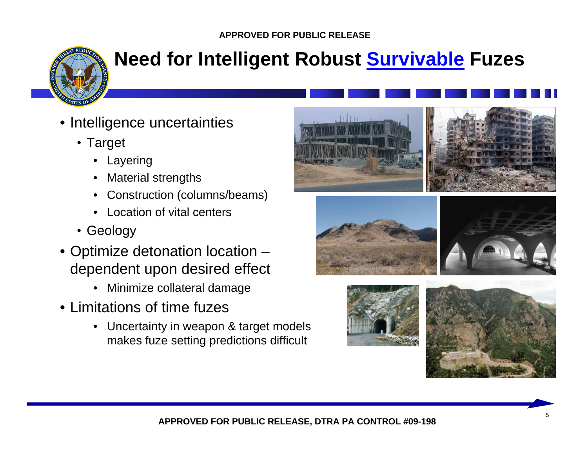

# **Need for Intelligent Robust Survivable Fuzes**

- Intelligence uncertainties
	- Target
		- Layering
		- Material strengths
		- Construction (columns/beams)
		- **Location of vital centers**
	- Geology
- Optimize detonation location dependent upon desired effect
	- Minimize collateral damage
- Limitations of time fuzes
	- Uncertainty in weapon & target models makes fuze setting predictions difficult







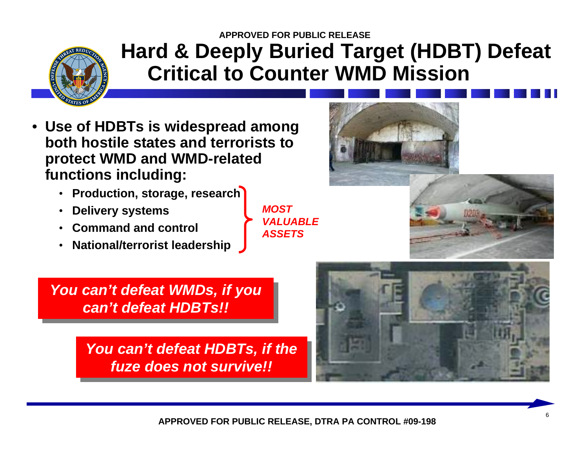

## **APPROVED FOR PUBLIC RELEASEHard & Deeply Buried Target (HDBT) Defeat Critical to Counter WMD Mission**

- **Use of HDBTs is widespread among both hostile states and terrorists to protect WMD and WMD-related functions including:**
	- **Production, storage, research**
	- **Delivery systems**
	- **Command and control**
	- **National/terrorist leadership**

*MOST VALUABLE ASSETS*



*You can't defeat WMDs, if you You can't defeat WMDs, if you can't defeat HDBTs!! can't defeat HDBTs!!*

> *You can't defeat HDBTs, if the You can't defeat HDBTs, if the fuze does not survive!! fuze does not survive!!*

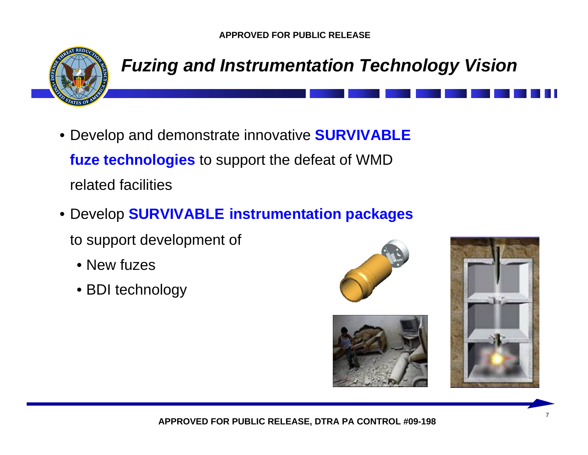

## *Fuzing and Instrumentation Technology Vision*

- Develop and demonstrate innovative **SURVIVABLE fuze technologies** to support the defeat of WMD related facilities
- Develop **SURVIVABLE instrumentation packages** 
	- to support development of
		- New fuzes
		- BDI technology





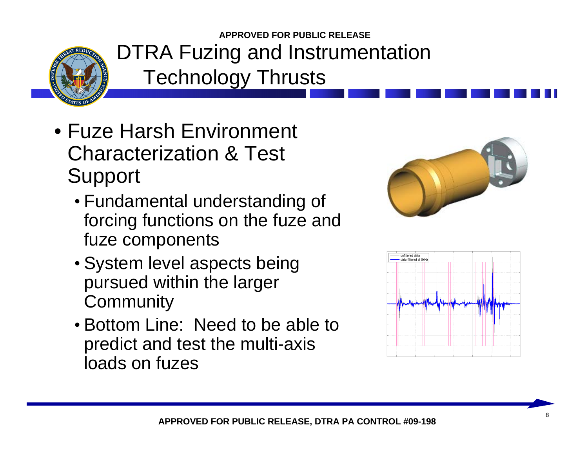

- Fuze Harsh Environment Characterization & Test Support
	- Fundamental understanding of forcing functions on the fuze and fuze components
	- System level aspects being pursued within the larger **Community**
	- Bottom Line: Need to be able to predict and test the multi-axis loads on fuzes



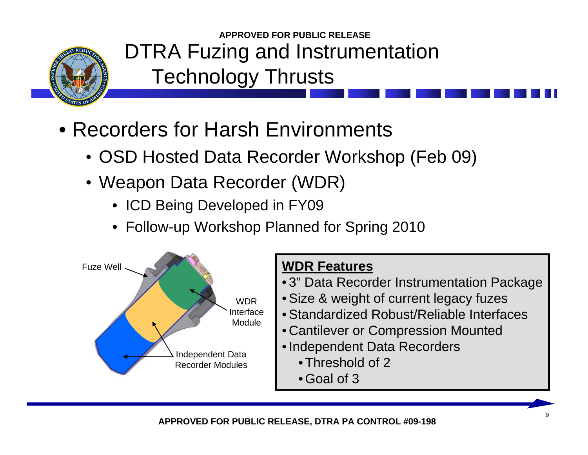

- Recorders for Harsh Environments
	- OSD Hosted Data Recorder Workshop (Feb 09)
	- Weapon Data Recorder (WDR)
		- ICD Being Developed in FY09
		- Follow-up Workshop Planned for Spring 2010



- 3" Data Recorder Instrumentation Package
- Size & weight of current legacy fuzes
- Standardized Robust/Reliable Interfaces
- Cantilever or Compression Mounted
- Independent Data Recorders
	- Threshold of 2
	- Goal of 3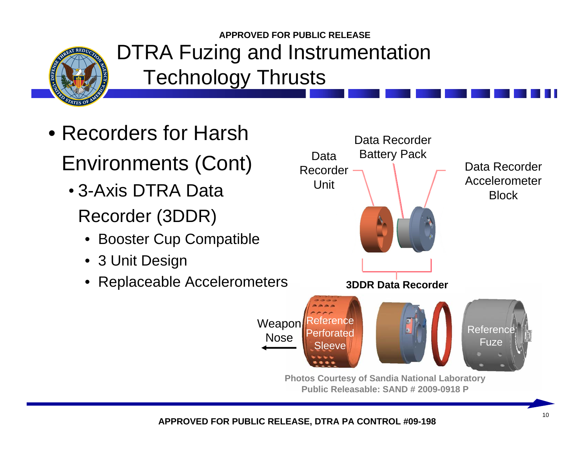

- Recorders for HarshEnvironments (Cont)
	- 3-Axis DTRA DataRecorder (3DDR)
		- Booster Cup Compatible
		- 3 Unit Design
		- Replaceable Accelerometers



**Public Releasable: SAND # 2009-0918 P**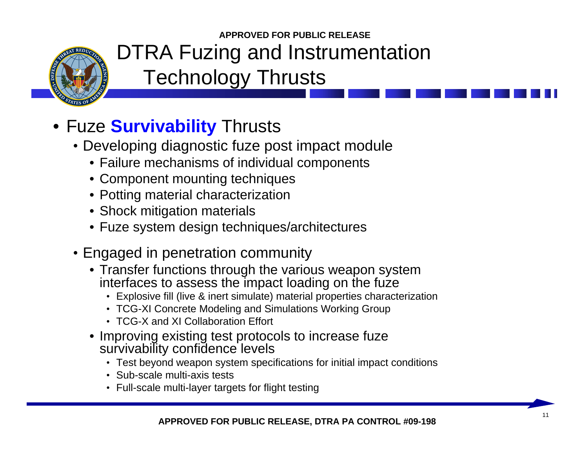

# • Fuze **Survivability** Thrusts

- Developing diagnostic fuze post impact module
	- Failure mechanisms of individual components
	- Component mounting techniques
	- Potting material characterization
	- Shock mitigation materials
	- Fuze system design techniques/architectures
- Engaged in penetration community
	- Transfer functions through the various weapon system interfaces to assess the impact loading on the fuze
		- Explosive fill (live & inert simulate) material properties characterization
		- TCG-XI Concrete Modeling and Simulations Working Group
		- TCG-X and XI Collaboration Effort
	- Improving existing test protocols to increase fuze survivability confidence levels
		- Test beyond weapon system specifications for initial impact conditions
		- Sub-scale multi-axis tests
		- Full-scale multi-layer targets for flight testing